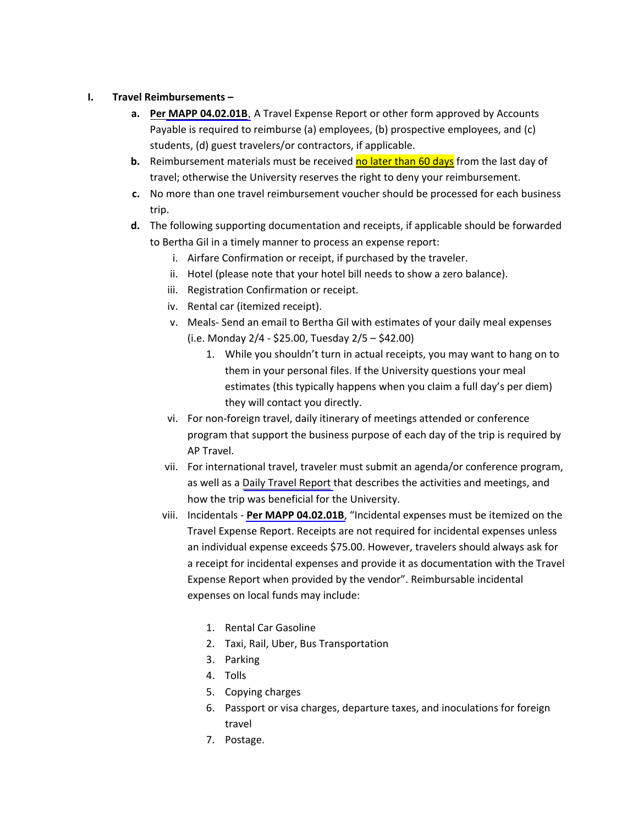## **I. Travel Reimbursements –**

- **a. Per MAPP [04.02.01B](http://www.uh.edu/af/universityservices/policies/mapp/04/040201B.pdf)**, A Travel Expense Report or other form approved by Accounts Payable is required to reimburse (a) employees, (b) prospective employees, and (c) students, (d) guest travelers/or contractors, if applicable.
- **b.** Reimbursement materials must be received no later than 60 days from the last day of travel; otherwise the University reserves the right to deny your reimbursement.
- **c.** No more than one travel reimbursement voucher should be processed for each business trip.
- **d.** The following supporting documentation and receipts, if applicable should be forwarded to Bertha Gil in a timely manner to process an expense report:
	- i. Airfare Confirmation or receipt, if purchased by the traveler.
	- ii. Hotel (please note that your hotel bill needs to show a zero balance).
	- iii. Registration Confirmation or receipt.
	- iv. Rental car (itemized receipt).
	- v. Meals‐ Send an email to Bertha Gil with estimates of your daily meal expenses (i.e. Monday 2/4 ‐ \$25.00, Tuesday 2/5 – \$42.00)
		- 1. While you shouldn't turn in actual receipts, you may want to hang on to them in your personal files. If the University questions your meal estimates (this typically happens when you claim a full day's per diem) they will contact you directly.
	- vi. For non‐foreign travel, daily itinerary of meetings attended or conference program that support the business purpose of each day of the trip is required by AP Travel.
	- vii. For international travel, traveler must submit an agenda/or conference program, as well as a Daily Travel Report that describes the activities and meetings, and how the trip was beneficial for the University.
	- viii. Incidentals ‐ **Per MAPP [04.02.01B](http://www.uh.edu/af/universityservices/policies/mapp/04/040201B.pdf)**, "Incidental expenses must be itemized on the Travel Expense Report. Receipts are not required for incidental expenses unless an individual expense exceeds \$75.00. However, travelers should always ask for a receipt for incidental expenses and provide it as documentation with the Travel Expense Report when provided by the vendor". Reimbursable incidental expenses on local funds may include:
		- 1. Rental Car Gasoline
		- 2. Taxi, Rail, Uber, Bus Transportation
		- 3. Parking
		- 4. Tolls
		- 5. Copying charges
		- 6. Passport or visa charges, departure taxes, and inoculations for foreign travel
		- 7. Postage.